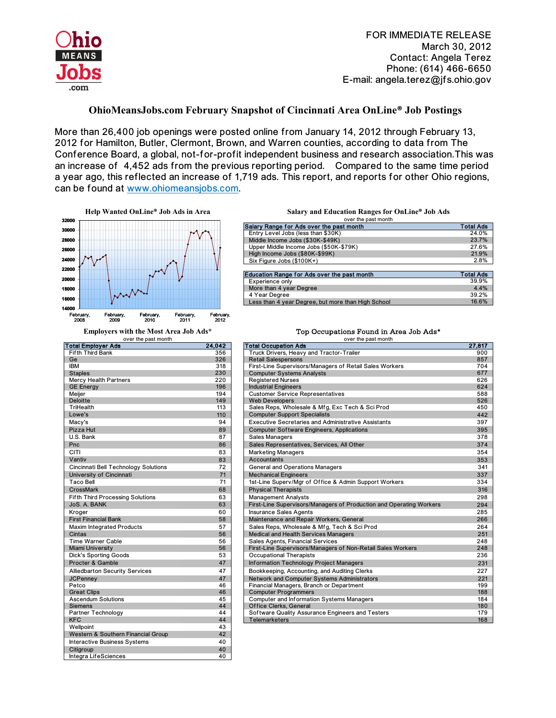

## **OhioMeansJobs.com February Snapshot of Cincinnati Area OnLine® Job Postings**

More than 26,400 job openings were posted online from January 14, 2012 through February 13, 2012 for Hamilton, Butler, Clermont, Brown, and Warren counties, according to data from The Conference Board, a global, not-for-profit independent business and research association.This was an increase of 4,452 ads from the previous reporting period. Compared to the same time period a year ago, this reflected an increase of 1,719 ads. This report, and reports for other Ohio regions, can be found at www.ohiomeansjobs.com.



over the past month

| i otal Employer Ads                     | 24,V4Z |
|-----------------------------------------|--------|
| <b>Fifth Third Bank</b>                 | 356    |
| Ge                                      | 326    |
| <b>IBM</b>                              | 318    |
| <b>Staples</b>                          | 230    |
| <b>Mercy Health Partners</b>            | 220    |
| <b>GE Energy</b>                        | 196    |
| Meijer                                  | 194    |
| <b>Deloitte</b>                         | 149    |
| TriHealth                               | 113    |
| Lowe's                                  | 110    |
| Macy's                                  | 94     |
| <b>Pizza Hut</b>                        | 89     |
| U.S. Bank                               | 87     |
| Pnc                                     | 86     |
| CITI                                    | 83     |
| Vantiv                                  | 83     |
| Cincinnati Bell Technology Solutions    | 72     |
| University of Cincinnati                | 71     |
| Taco Bell                               | 71     |
| CrossMark                               | 68     |
| <b>Fifth Third Processing Solutions</b> | 63     |
| JoS. A. BANK                            | 63     |
| Kroger                                  | 60     |
| <b>First Financial Bank</b>             | 58     |
| <b>Maxim Integrated Products</b>        | 57     |
| Cintas                                  | 56     |
| <b>Time Warner Cable</b>                | 56     |
| <b>Miami University</b>                 | 56     |
| <b>Dick's Sporting Goods</b>            | 53     |
| Procter & Gamble                        | 47     |
| <b>Alliedbarton Security Services</b>   | 47     |
| <b>JCPenney</b>                         | 47     |
| Petco                                   | 46     |
| <b>Great Clips</b>                      | 46     |
| <b>Ascendum Solutions</b>               | 45     |
| <b>Siemens</b>                          | 44     |
| Partner Technology                      | 44     |
| <b>KFC</b>                              | 44     |
| Wellpoint                               | 43     |
| Western & Southern Financial Group      | 42     |
| <b>Interactive Business Systems</b>     | 40     |
| Citigroup                               | 40     |
| Integra LifeSciences                    | 40     |

| over the past month                                |                  |  |  |
|----------------------------------------------------|------------------|--|--|
| Salary Range for Ads over the past month           | <b>Total Ads</b> |  |  |
| Entry Level Jobs (less than \$30K)                 | 24.0%            |  |  |
| Middle Income Jobs (\$30K-\$49K)                   | 23.7%            |  |  |
| Upper Middle Income Jobs (\$50K-\$79K)             | 27.6%            |  |  |
| High Income Jobs (\$80K-\$99K)                     | 21.9%            |  |  |
| Six Figure Jobs (\$100K+)                          | 2.8%             |  |  |
|                                                    |                  |  |  |
| <b>Education Range for Ads over the past month</b> | <b>Total Ads</b> |  |  |
| Experience only                                    | 39.9%            |  |  |
| More than 4 year Degree                            | 4.4%             |  |  |
| 4 Year Degree                                      | 39.2%            |  |  |
| Less than 4 year Degree, but more than High School | 16.6%            |  |  |

## **Employers with the Most Area Job Ads\*** Top Occupations Found in Area Job Ads\*

| over the past month                     |        | over the past month                                                 |        |
|-----------------------------------------|--------|---------------------------------------------------------------------|--------|
| <b>Total Employer Ads</b>               | 24,042 | <b>Total Occupation Ads</b>                                         | 27,817 |
| Fifth Third Bank                        | 356    | Truck Drivers, Heavy and Tractor-Trailer                            | 900    |
| Ge                                      | 326    | <b>Retail Salespersons</b>                                          | 857    |
| <b>IBM</b>                              | 318    | First-Line Supervisors/Managers of Retail Sales Workers             | 704    |
| <b>Staples</b>                          | 230    | <b>Computer Systems Analysts</b>                                    | 677    |
| <b>Mercy Health Partners</b>            | 220    | <b>Registered Nurses</b>                                            | 626    |
| <b>GE Energy</b>                        | 196    | <b>Industrial Engineers</b>                                         | 624    |
| Meijer                                  | 194    | <b>Customer Service Representatives</b>                             | 588    |
| <b>Deloitte</b>                         | 149    | <b>Web Developers</b>                                               | 526    |
| TriHealth                               | 113    | Sales Reps, Wholesale & Mfg, Exc Tech & Sci Prod                    | 450    |
| Lowe's                                  | 110    | <b>Computer Support Specialists</b>                                 | 442    |
| Macy's                                  | 94     | <b>Executive Secretaries and Administrative Assistants</b>          | 397    |
| Pizza Hut                               | 89     | <b>Computer Software Engineers, Applications</b>                    | 395    |
| U.S. Bank                               | 87     | <b>Sales Managers</b>                                               | 378    |
| Pnc                                     | 86     | Sales Representatives, Services, All Other                          | 374    |
| <b>CITI</b>                             | 83     | <b>Marketing Managers</b>                                           | 354    |
| Vantiv                                  | 83     | <b>Accountants</b>                                                  | 353    |
| Cincinnati Bell Technology Solutions    | 72     | General and Operations Managers                                     | 341    |
| University of Cincinnati                | 71     | <b>Mechanical Engineers</b>                                         | 337    |
| <b>Taco Bell</b>                        | 71     | 1st-Line Superv/Mgr of Office & Admin Support Workers               | 334    |
| <b>CrossMark</b>                        | 68     | <b>Physical Therapists</b>                                          | 316    |
| <b>Fifth Third Processing Solutions</b> | 63     | <b>Management Analysts</b>                                          | 298    |
| JoS. A. BANK                            | 63     | First-Line Supervisors/Managers of Production and Operating Workers | 294    |
| Kroger                                  | 60     | <b>Insurance Sales Agents</b>                                       | 285    |
| <b>First Financial Bank</b>             | 58     | Maintenance and Repair Workers, General                             | 266    |
| <b>Maxim Integrated Products</b>        | 57     | Sales Reps, Wholesale & Mfg, Tech & Sci Prod                        | 264    |
| Cintas                                  | 56     | Medical and Health Services Managers                                | 251    |
| <b>Time Warner Cable</b>                | 56     | Sales Agents, Financial Services                                    | 248    |
| <b>Miami University</b>                 | 56     | First-Line Supervisors/Managers of Non-Retail Sales Workers         | 248    |
| <b>Dick's Sporting Goods</b>            | 53     | <b>Occupational Therapists</b>                                      | 236    |
| Procter & Gamble                        | 47     | <b>Information Technology Project Managers</b>                      | 231    |
| <b>Alliedbarton Security Services</b>   | 47     | Bookkeeping, Accounting, and Auditing Clerks                        | 227    |
| <b>JCPenney</b>                         | 47     | Network and Computer Systems Administrators                         | 221    |
| Petco                                   | 46     | Financial Managers, Branch or Department                            | 199    |
| <b>Great Clips</b>                      | 46     | <b>Computer Programmers</b>                                         | 188    |
| <b>Ascendum Solutions</b>               | 45     | Computer and Information Systems Managers                           | 184    |
| <b>Siemens</b>                          | 44     | Office Clerks, General                                              | 180    |
| Partner Technology                      | 44     | Software Quality Assurance Engineers and Testers                    | 179    |
| <b>KFC</b>                              | 44     | <b>Telemarketers</b>                                                | 168    |